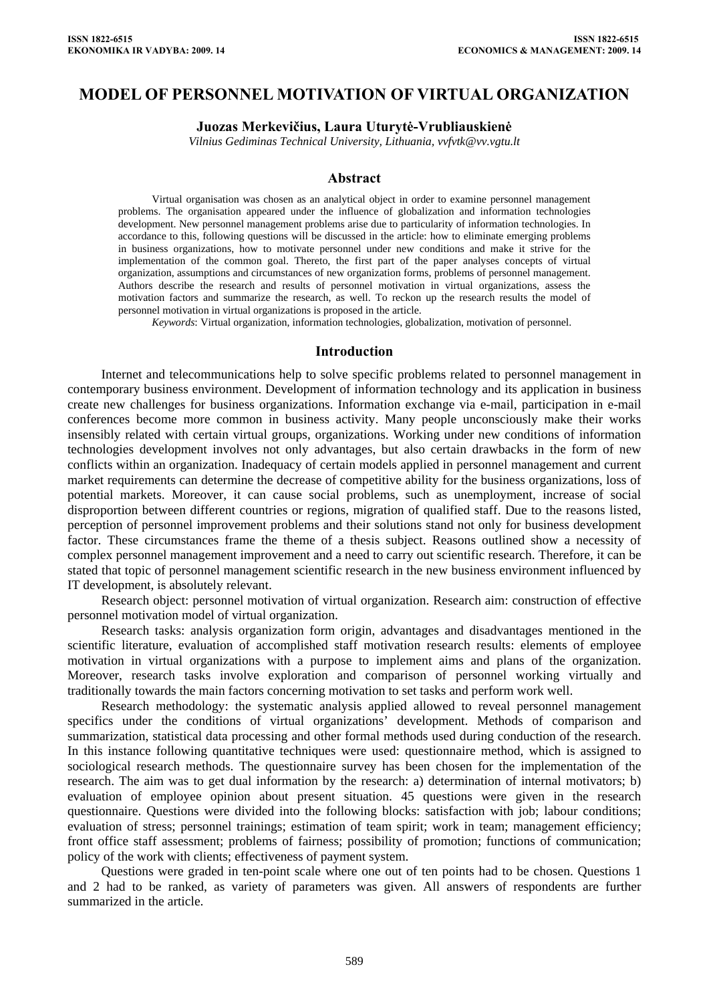# **MODEL OF PERSONNEL MOTIVATION OF VIRTUAL ORGANIZATION**

### **Juozas Merkevičius, Laura Uturytė-Vrubliauskienė**

*Vilnius Gediminas Technical University, Lithuania, vvfvtk@vv.vgtu.lt* 

#### **Abstract**

Virtual organisation was chosen as an analytical object in order to examine personnel management problems. The organisation appeared under the influence of globalization and information technologies development. New personnel management problems arise due to particularity of information technologies. In accordance to this, following questions will be discussed in the article: how to eliminate emerging problems in business organizations, how to motivate personnel under new conditions and make it strive for the implementation of the common goal. Thereto, the first part of the paper analyses concepts of virtual organization, assumptions and circumstances of new organization forms, problems of personnel management. Authors describe the research and results of personnel motivation in virtual organizations, assess the motivation factors and summarize the research, as well. To reckon up the research results the model of personnel motivation in virtual organizations is proposed in the article.

*Keywords*: Virtual organization, information technologies, globalization, motivation of personnel.

#### **Introduction**

Internet and telecommunications help to solve specific problems related to personnel management in contemporary business environment. Development of information technology and its application in business create new challenges for business organizations. Information exchange via e-mail, participation in e-mail conferences become more common in business activity. Many people unconsciously make their works insensibly related with certain virtual groups, organizations. Working under new conditions of information technologies development involves not only advantages, but also certain drawbacks in the form of new conflicts within an organization. Inadequacy of certain models applied in personnel management and current market requirements can determine the decrease of competitive ability for the business organizations, loss of potential markets. Moreover, it can cause social problems, such as unemployment, increase of social disproportion between different countries or regions, migration of qualified staff. Due to the reasons listed, perception of personnel improvement problems and their solutions stand not only for business development factor. These circumstances frame the theme of a thesis subject. Reasons outlined show a necessity of complex personnel management improvement and a need to carry out scientific research. Therefore, it can be stated that topic of personnel management scientific research in the new business environment influenced by IT development, is absolutely relevant.

Research object: personnel motivation of virtual organization. Research aim: construction of effective personnel motivation model of virtual organization.

Research tasks: analysis organization form origin, advantages and disadvantages mentioned in the scientific literature, evaluation of accomplished staff motivation research results: elements of employee motivation in virtual organizations with a purpose to implement aims and plans of the organization. Moreover, research tasks involve exploration and comparison of personnel working virtually and traditionally towards the main factors concerning motivation to set tasks and perform work well.

Research methodology: the systematic analysis applied allowed to reveal personnel management specifics under the conditions of virtual organizations' development. Methods of comparison and summarization, statistical data processing and other formal methods used during conduction of the research. In this instance following quantitative techniques were used: questionnaire method, which is assigned to sociological research methods. The questionnaire survey has been chosen for the implementation of the research. The aim was to get dual information by the research: a) determination of internal motivators; b) evaluation of employee opinion about present situation. 45 questions were given in the research questionnaire. Questions were divided into the following blocks: satisfaction with job; labour conditions; evaluation of stress; personnel trainings; estimation of team spirit; work in team; management efficiency; front office staff assessment; problems of fairness; possibility of promotion; functions of communication; policy of the work with clients; effectiveness of payment system.

Questions were graded in ten-point scale where one out of ten points had to be chosen. Questions 1 and 2 had to be ranked, as variety of parameters was given. All answers of respondents are further summarized in the article.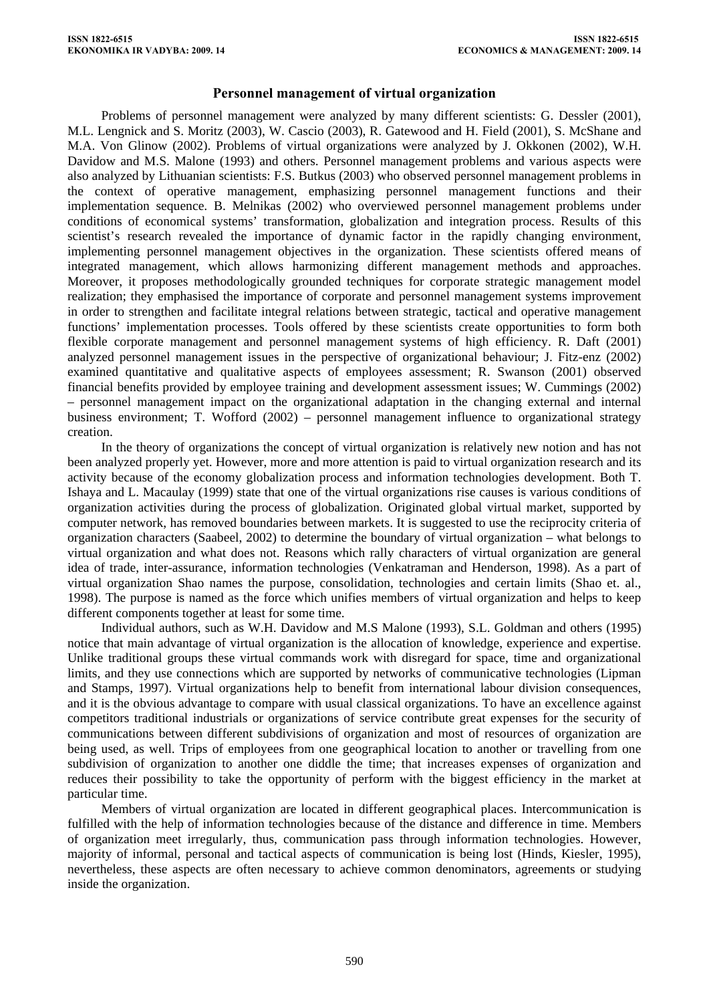### **Personnel management of virtual organization**

Problems of personnel management were analyzed by many different scientists: G. Dessler (2001), M.L. Lengnick and S. Moritz (2003), W. Cascio (2003), R. Gatewood and H. Field (2001), S. McShane and M.A. Von Glinow (2002). Problems of virtual organizations were analyzed by J. Okkonen (2002), W.H. Davidow and M.S. Malone (1993) and others. Personnel management problems and various aspects were also analyzed by Lithuanian scientists: F.S. Butkus (2003) who observed personnel management problems in the context of operative management, emphasizing personnel management functions and their implementation sequence. B. Melnikas (2002) who overviewed personnel management problems under conditions of economical systems' transformation, globalization and integration process. Results of this scientist's research revealed the importance of dynamic factor in the rapidly changing environment, implementing personnel management objectives in the organization. These scientists offered means of integrated management, which allows harmonizing different management methods and approaches. Moreover, it proposes methodologically grounded techniques for corporate strategic management model realization; they emphasised the importance of corporate and personnel management systems improvement in order to strengthen and facilitate integral relations between strategic, tactical and operative management functions' implementation processes. Tools offered by these scientists create opportunities to form both flexible corporate management and personnel management systems of high efficiency. R. Daft (2001) analyzed personnel management issues in the perspective of organizational behaviour; J. Fitz-enz (2002) examined quantitative and qualitative aspects of employees assessment; R. Swanson (2001) observed financial benefits provided by employee training and development assessment issues; W. Cummings (2002) – personnel management impact on the organizational adaptation in the changing external and internal business environment; T. Wofford (2002) – personnel management influence to organizational strategy creation.

In the theory of organizations the concept of virtual organization is relatively new notion and has not been analyzed properly yet. However, more and more attention is paid to virtual organization research and its activity because of the economy globalization process and information technologies development. Both T. Ishaya and L. Macaulay (1999) state that one of the virtual organizations rise causes is various conditions of organization activities during the process of globalization. Originated global virtual market, supported by computer network, has removed boundaries between markets. It is suggested to use the reciprocity criteria of organization characters (Saabeel, 2002) to determine the boundary of virtual organization – what belongs to virtual organization and what does not. Reasons which rally characters of virtual organization are general idea of trade, inter-assurance, information technologies (Venkatraman and Henderson, 1998). As a part of virtual organization Shao names the purpose, consolidation, technologies and certain limits (Shao et. al., 1998). The purpose is named as the force which unifies members of virtual organization and helps to keep different components together at least for some time.

Individual authors, such as W.H. Davidow and M.S Malone (1993), S.L. Goldman and others (1995) notice that main advantage of virtual organization is the allocation of knowledge, experience and expertise. Unlike traditional groups these virtual commands work with disregard for space, time and organizational limits, and they use connections which are supported by networks of communicative technologies (Lipman and Stamps, 1997). Virtual organizations help to benefit from international labour division consequences, and it is the obvious advantage to compare with usual classical organizations. To have an excellence against competitors traditional industrials or organizations of service contribute great expenses for the security of communications between different subdivisions of organization and most of resources of organization are being used, as well. Trips of employees from one geographical location to another or travelling from one subdivision of organization to another one diddle the time; that increases expenses of organization and reduces their possibility to take the opportunity of perform with the biggest efficiency in the market at particular time.

Members of virtual organization are located in different geographical places. Intercommunication is fulfilled with the help of information technologies because of the distance and difference in time. Members of organization meet irregularly, thus, communication pass through information technologies. However, majority of informal, personal and tactical aspects of communication is being lost (Hinds, Kiesler, 1995), nevertheless, these aspects are often necessary to achieve common denominators, agreements or studying inside the organization.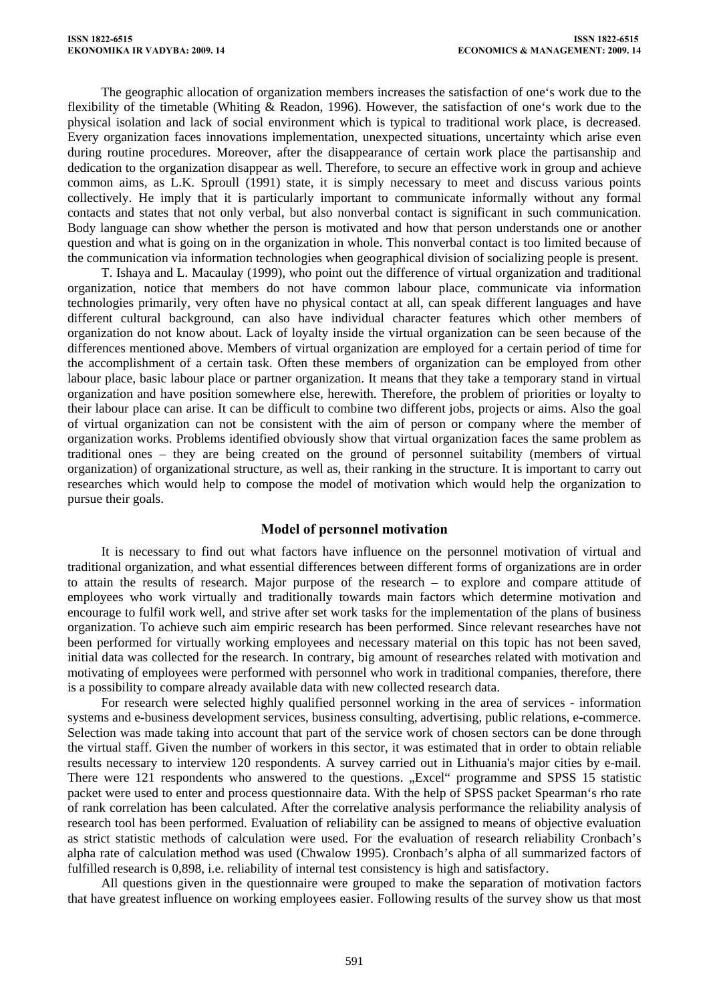The geographic allocation of organization members increases the satisfaction of one's work due to the flexibility of the timetable (Whiting & Readon, 1996). However, the satisfaction of one's work due to the physical isolation and lack of social environment which is typical to traditional work place, is decreased. Every organization faces innovations implementation, unexpected situations, uncertainty which arise even during routine procedures. Moreover, after the disappearance of certain work place the partisanship and dedication to the organization disappear as well. Therefore, to secure an effective work in group and achieve common aims, as L.K. Sproull (1991) state, it is simply necessary to meet and discuss various points collectively. He imply that it is particularly important to communicate informally without any formal contacts and states that not only verbal, but also nonverbal contact is significant in such communication. Body language can show whether the person is motivated and how that person understands one or another question and what is going on in the organization in whole. This nonverbal contact is too limited because of the communication via information technologies when geographical division of socializing people is present.

T. Ishaya and L. Macaulay (1999), who point out the difference of virtual organization and traditional organization, notice that members do not have common labour place, communicate via information technologies primarily, very often have no physical contact at all, can speak different languages and have different cultural background, can also have individual character features which other members of organization do not know about. Lack of loyalty inside the virtual organization can be seen because of the differences mentioned above. Members of virtual organization are employed for a certain period of time for the accomplishment of a certain task. Often these members of organization can be employed from other labour place, basic labour place or partner organization. It means that they take a temporary stand in virtual organization and have position somewhere else, herewith. Therefore, the problem of priorities or loyalty to their labour place can arise. It can be difficult to combine two different jobs, projects or aims. Also the goal of virtual organization can not be consistent with the aim of person or company where the member of organization works. Problems identified obviously show that virtual organization faces the same problem as traditional ones – they are being created on the ground of personnel suitability (members of virtual organization) of organizational structure, as well as, their ranking in the structure. It is important to carry out researches which would help to compose the model of motivation which would help the organization to pursue their goals.

## **Model of personnel motivation**

It is necessary to find out what factors have influence on the personnel motivation of virtual and traditional organization, and what essential differences between different forms of organizations are in order to attain the results of research. Major purpose of the research – to explore and compare attitude of employees who work virtually and traditionally towards main factors which determine motivation and encourage to fulfil work well, and strive after set work tasks for the implementation of the plans of business organization. To achieve such aim empiric research has been performed. Since relevant researches have not been performed for virtually working employees and necessary material on this topic has not been saved, initial data was collected for the research. In contrary, big amount of researches related with motivation and motivating of employees were performed with personnel who work in traditional companies, therefore, there is a possibility to compare already available data with new collected research data.

For research were selected highly qualified personnel working in the area of services - information systems and e-business development services, business consulting, advertising, public relations, e-commerce. Selection was made taking into account that part of the service work of chosen sectors can be done through the virtual staff. Given the number of workers in this sector, it was estimated that in order to obtain reliable results necessary to interview 120 respondents. A survey carried out in Lithuania's major cities by e-mail. There were 121 respondents who answered to the questions. "Excel" programme and SPSS 15 statistic packet were used to enter and process questionnaire data. With the help of SPSS packet Spearman's rho rate of rank correlation has been calculated. After the correlative analysis performance the reliability analysis of research tool has been performed. Evaluation of reliability can be assigned to means of objective evaluation as strict statistic methods of calculation were used. For the evaluation of research reliability Cronbach's alpha rate of calculation method was used (Chwalow 1995). Cronbach's alpha of all summarized factors of fulfilled research is 0,898, i.e. reliability of internal test consistency is high and satisfactory.

All questions given in the questionnaire were grouped to make the separation of motivation factors that have greatest influence on working employees easier. Following results of the survey show us that most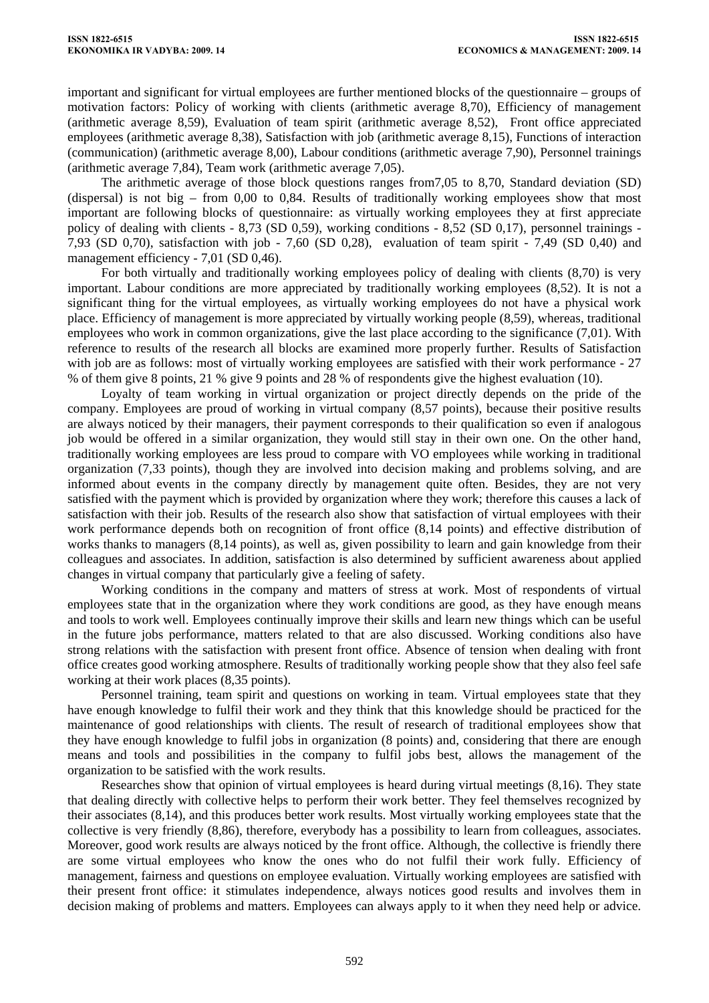important and significant for virtual employees are further mentioned blocks of the questionnaire – groups of motivation factors: Policy of working with clients (arithmetic average 8,70), Efficiency of management (arithmetic average 8,59), Evaluation of team spirit (arithmetic average 8,52), Front office appreciated employees (arithmetic average 8,38), Satisfaction with job (arithmetic average 8,15), Functions of interaction (communication) (arithmetic average 8,00), Labour conditions (arithmetic average 7,90), Personnel trainings (arithmetic average 7,84), Team work (arithmetic average 7,05).

The arithmetic average of those block questions ranges from7,05 to 8,70, Standard deviation (SD) (dispersal) is not big – from 0,00 to 0,84. Results of traditionally working employees show that most important are following blocks of questionnaire: as virtually working employees they at first appreciate policy of dealing with clients - 8,73 (SD 0,59), working conditions - 8,52 (SD 0,17), personnel trainings - 7,93 (SD 0,70), satisfaction with job - 7,60 (SD 0,28), evaluation of team spirit - 7,49 (SD 0,40) and management efficiency - 7,01 (SD 0.46).

For both virtually and traditionally working employees policy of dealing with clients (8,70) is very important. Labour conditions are more appreciated by traditionally working employees (8,52). It is not a significant thing for the virtual employees, as virtually working employees do not have a physical work place. Efficiency of management is more appreciated by virtually working people (8,59), whereas, traditional employees who work in common organizations, give the last place according to the significance (7,01). With reference to results of the research all blocks are examined more properly further. Results of Satisfaction with job are as follows: most of virtually working employees are satisfied with their work performance - 27 % of them give 8 points, 21 % give 9 points and 28 % of respondents give the highest evaluation (10).

Loyalty of team working in virtual organization or project directly depends on the pride of the company. Employees are proud of working in virtual company (8,57 points), because their positive results are always noticed by their managers, their payment corresponds to their qualification so even if analogous job would be offered in a similar organization, they would still stay in their own one. On the other hand, traditionally working employees are less proud to compare with VO employees while working in traditional organization (7,33 points), though they are involved into decision making and problems solving, and are informed about events in the company directly by management quite often. Besides, they are not very satisfied with the payment which is provided by organization where they work; therefore this causes a lack of satisfaction with their job. Results of the research also show that satisfaction of virtual employees with their work performance depends both on recognition of front office (8,14 points) and effective distribution of works thanks to managers (8,14 points), as well as, given possibility to learn and gain knowledge from their colleagues and associates. In addition, satisfaction is also determined by sufficient awareness about applied changes in virtual company that particularly give a feeling of safety.

Working conditions in the company and matters of stress at work. Most of respondents of virtual employees state that in the organization where they work conditions are good, as they have enough means and tools to work well. Employees continually improve their skills and learn new things which can be useful in the future jobs performance, matters related to that are also discussed. Working conditions also have strong relations with the satisfaction with present front office. Absence of tension when dealing with front office creates good working atmosphere. Results of traditionally working people show that they also feel safe working at their work places (8,35 points).

Personnel training, team spirit and questions on working in team. Virtual employees state that they have enough knowledge to fulfil their work and they think that this knowledge should be practiced for the maintenance of good relationships with clients. The result of research of traditional employees show that they have enough knowledge to fulfil jobs in organization (8 points) and, considering that there are enough means and tools and possibilities in the company to fulfil jobs best, allows the management of the organization to be satisfied with the work results.

Researches show that opinion of virtual employees is heard during virtual meetings (8,16). They state that dealing directly with collective helps to perform their work better. They feel themselves recognized by their associates (8,14), and this produces better work results. Most virtually working employees state that the collective is very friendly (8,86), therefore, everybody has a possibility to learn from colleagues, associates. Moreover, good work results are always noticed by the front office. Although, the collective is friendly there are some virtual employees who know the ones who do not fulfil their work fully. Efficiency of management, fairness and questions on employee evaluation. Virtually working employees are satisfied with their present front office: it stimulates independence, always notices good results and involves them in decision making of problems and matters. Employees can always apply to it when they need help or advice.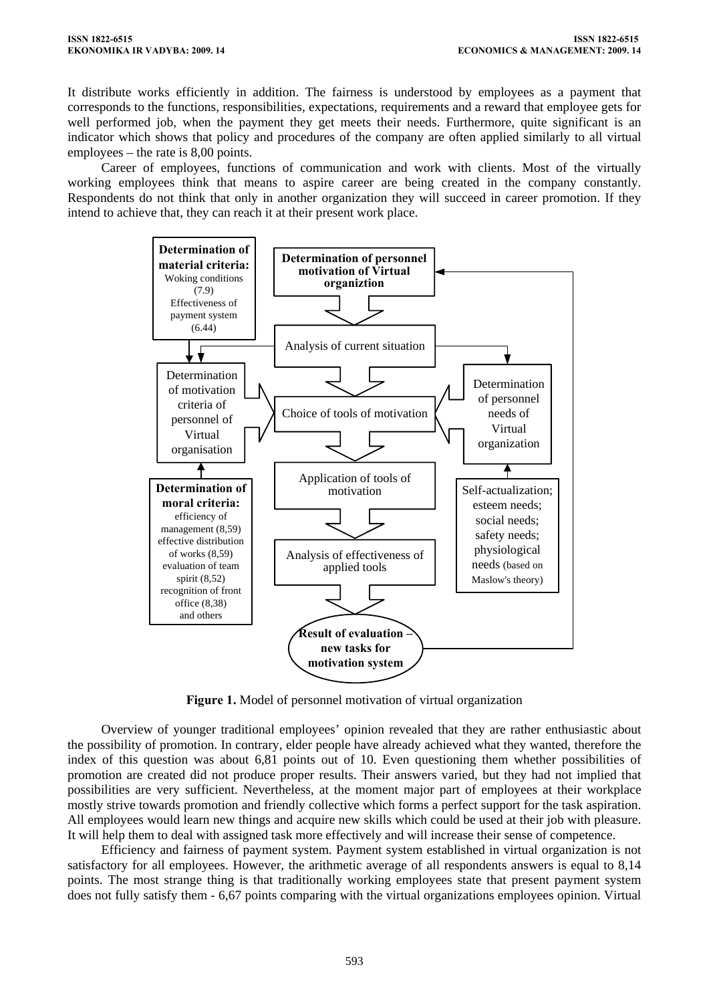It distribute works efficiently in addition. The fairness is understood by employees as a payment that corresponds to the functions, responsibilities, expectations, requirements and a reward that employee gets for well performed job, when the payment they get meets their needs. Furthermore, quite significant is an indicator which shows that policy and procedures of the company are often applied similarly to all virtual employees – the rate is 8,00 points.

Career of employees, functions of communication and work with clients. Most of the virtually working employees think that means to aspire career are being created in the company constantly. Respondents do not think that only in another organization they will succeed in career promotion. If they intend to achieve that, they can reach it at their present work place.



**Figure 1.** Model of personnel motivation of virtual organization

Overview of younger traditional employees' opinion revealed that they are rather enthusiastic about the possibility of promotion. In contrary, elder people have already achieved what they wanted, therefore the index of this question was about 6,81 points out of 10. Even questioning them whether possibilities of promotion are created did not produce proper results. Their answers varied, but they had not implied that possibilities are very sufficient. Nevertheless, at the moment major part of employees at their workplace mostly strive towards promotion and friendly collective which forms a perfect support for the task aspiration. All employees would learn new things and acquire new skills which could be used at their job with pleasure. It will help them to deal with assigned task more effectively and will increase their sense of competence.

Efficiency and fairness of payment system. Payment system established in virtual organization is not satisfactory for all employees. However, the arithmetic average of all respondents answers is equal to 8,14 points. The most strange thing is that traditionally working employees state that present payment system does not fully satisfy them - 6,67 points comparing with the virtual organizations employees opinion. Virtual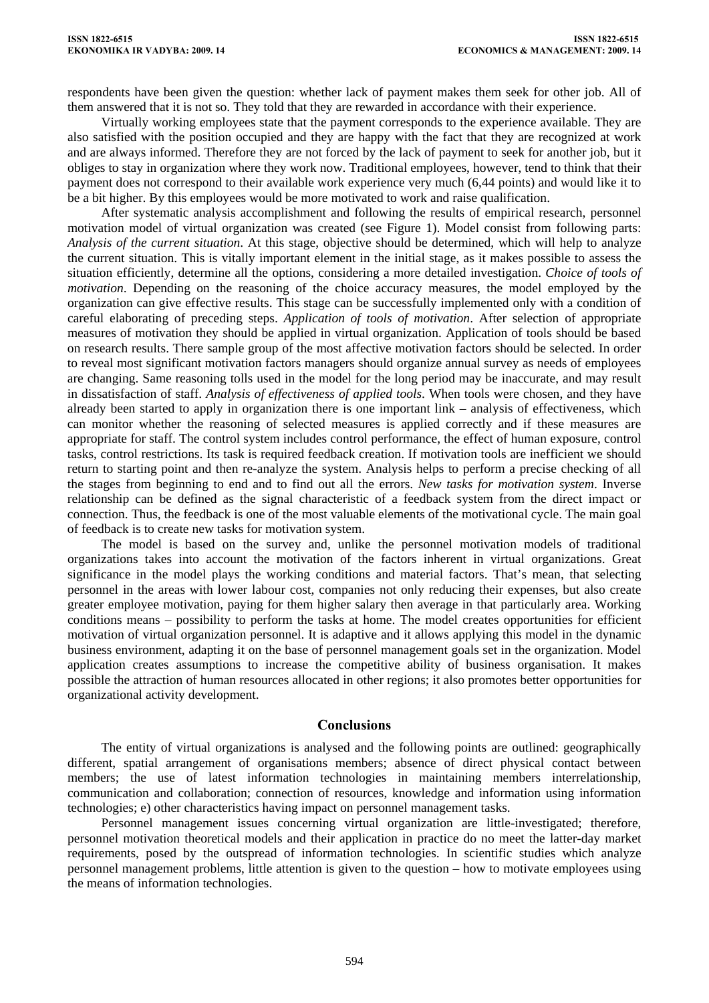respondents have been given the question: whether lack of payment makes them seek for other job. All of them answered that it is not so. They told that they are rewarded in accordance with their experience.

Virtually working employees state that the payment corresponds to the experience available. They are also satisfied with the position occupied and they are happy with the fact that they are recognized at work and are always informed. Therefore they are not forced by the lack of payment to seek for another job, but it obliges to stay in organization where they work now. Traditional employees, however, tend to think that their payment does not correspond to their available work experience very much (6,44 points) and would like it to be a bit higher. By this employees would be more motivated to work and raise qualification.

After systematic analysis accomplishment and following the results of empirical research, personnel motivation model of virtual organization was created (see Figure 1). Model consist from following parts: *Analysis of the current situation*. At this stage, objective should be determined, which will help to analyze the current situation. This is vitally important element in the initial stage, as it makes possible to assess the situation efficiently, determine all the options, considering a more detailed investigation. *Choice of tools of motivation*. Depending on the reasoning of the choice accuracy measures, the model employed by the organization can give effective results. This stage can be successfully implemented only with a condition of careful elaborating of preceding steps. *Application of tools of motivation*. After selection of appropriate measures of motivation they should be applied in virtual organization. Application of tools should be based on research results. There sample group of the most affective motivation factors should be selected. In order to reveal most significant motivation factors managers should organize annual survey as needs of employees are changing. Same reasoning tolls used in the model for the long period may be inaccurate, and may result in dissatisfaction of staff. *Analysis of effectiveness of applied tools*. When tools were chosen, and they have already been started to apply in organization there is one important link – analysis of effectiveness, which can monitor whether the reasoning of selected measures is applied correctly and if these measures are appropriate for staff. The control system includes control performance, the effect of human exposure, control tasks, control restrictions. Its task is required feedback creation. If motivation tools are inefficient we should return to starting point and then re-analyze the system. Analysis helps to perform a precise checking of all the stages from beginning to end and to find out all the errors. *New tasks for motivation system*. Inverse relationship can be defined as the signal characteristic of a feedback system from the direct impact or connection. Thus, the feedback is one of the most valuable elements of the motivational cycle. The main goal of feedback is to create new tasks for motivation system.

The model is based on the survey and, unlike the personnel motivation models of traditional organizations takes into account the motivation of the factors inherent in virtual organizations. Great significance in the model plays the working conditions and material factors. That's mean, that selecting personnel in the areas with lower labour cost, companies not only reducing their expenses, but also create greater employee motivation, paying for them higher salary then average in that particularly area. Working conditions means – possibility to perform the tasks at home. The model creates opportunities for efficient motivation of virtual organization personnel. It is adaptive and it allows applying this model in the dynamic business environment, adapting it on the base of personnel management goals set in the organization. Model application creates assumptions to increase the competitive ability of business organisation. It makes possible the attraction of human resources allocated in other regions; it also promotes better opportunities for organizational activity development.

### **Conclusions**

The entity of virtual organizations is analysed and the following points are outlined: geographically different, spatial arrangement of organisations members; absence of direct physical contact between members; the use of latest information technologies in maintaining members interrelationship, communication and collaboration; connection of resources, knowledge and information using information technologies; e) other characteristics having impact on personnel management tasks.

Personnel management issues concerning virtual organization are little-investigated; therefore, personnel motivation theoretical models and their application in practice do no meet the latter-day market requirements, posed by the outspread of information technologies. In scientific studies which analyze personnel management problems, little attention is given to the question – how to motivate employees using the means of information technologies.